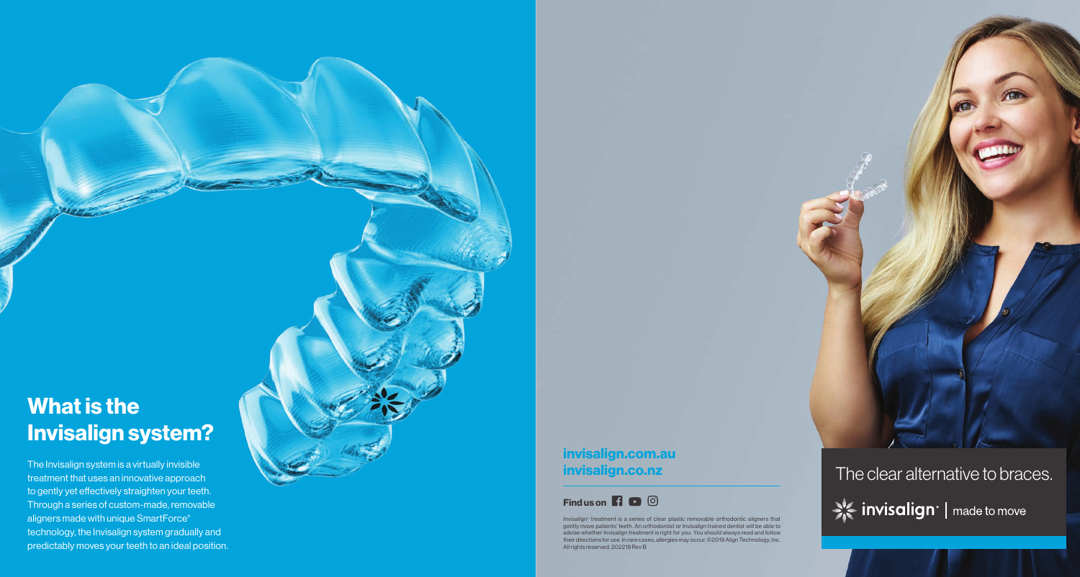# **What is the Invisalign system?**

The Invisalign system is a virtually invisible treatment that uses an innovative approach to gently yet effectively straighten your teeth. Through a series of custom-made, removable aligners made with unique SmartForce ® technology, the Invisalign system gradually and predictably moves your teeth to an ideal position. **invisalign.com.au invisalign.co.nz**



Invisalign ® treatment is a series of clear plastic removable orthodontic aligners that gently move patients' teeth. An orthodontist or Invisalign trained dentist will be able to advise whether Invisalign treatment is right for you. You should always read and follow their directions for use. In rare cases, allergies may occur. ©2019 Align Technology, Inc. All rights reserved. 202219 Rev B

The clear alternative to braces.Site invisalign<sup>®</sup> | made to move